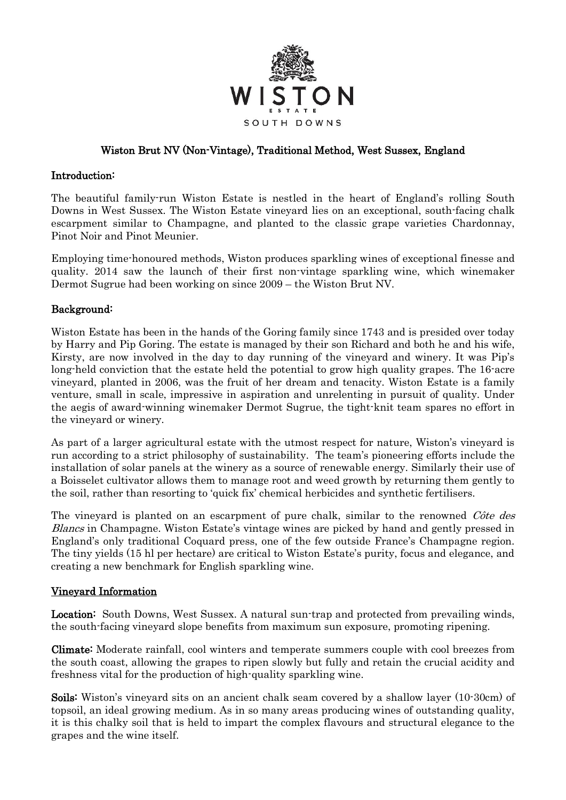

### Wiston Brut NV (Non-Vintage), Traditional Method, West Sussex, England

#### Introduction:

The beautiful family-run Wiston Estate is nestled in the heart of England's rolling South Downs in West Sussex. The Wiston Estate vineyard lies on an exceptional, south-facing chalk escarpment similar to Champagne, and planted to the classic grape varieties Chardonnay, Pinot Noir and Pinot Meunier.

Employing time-honoured methods, Wiston produces sparkling wines of exceptional finesse and quality. 2014 saw the launch of their first non-vintage sparkling wine, which winemaker Dermot Sugrue had been working on since 2009 – the Wiston Brut NV.

### Background:

Wiston Estate has been in the hands of the Goring family since 1743 and is presided over today by Harry and Pip Goring. The estate is managed by their son Richard and both he and his wife, Kirsty, are now involved in the day to day running of the vineyard and winery. It was Pip's long-held conviction that the estate held the potential to grow high quality grapes. The 16-acre vineyard, planted in 2006, was the fruit of her dream and tenacity. Wiston Estate is a family venture, small in scale, impressive in aspiration and unrelenting in pursuit of quality. Under the aegis of award-winning winemaker Dermot Sugrue, the tight-knit team spares no effort in the vineyard or winery.

As part of a larger agricultural estate with the utmost respect for nature, Wiston's vineyard is run according to a strict philosophy of sustainability. The team's pioneering efforts include the installation of solar panels at the winery as a source of renewable energy. Similarly their use of a Boisselet cultivator allows them to manage root and weed growth by returning them gently to the soil, rather than resorting to 'quick fix' chemical herbicides and synthetic fertilisers.

The vineyard is planted on an escarpment of pure chalk, similar to the renowned Côte des Blancs in Champagne. Wiston Estate's vintage wines are picked by hand and gently pressed in England's only traditional Coquard press, one of the few outside France's Champagne region. The tiny yields (15 hl per hectare) are critical to Wiston Estate's purity, focus and elegance, and creating a new benchmark for English sparkling wine.

#### Vineyard Information

Location: South Downs, West Sussex. A natural sun-trap and protected from prevailing winds, the south-facing vineyard slope benefits from maximum sun exposure, promoting ripening.

Climate: Moderate rainfall, cool winters and temperate summers couple with cool breezes from the south coast, allowing the grapes to ripen slowly but fully and retain the crucial acidity and freshness vital for the production of high-quality sparkling wine.

Soils: Wiston's vineyard sits on an ancient chalk seam covered by a shallow layer (10-30cm) of topsoil, an ideal growing medium. As in so many areas producing wines of outstanding quality, it is this chalky soil that is held to impart the complex flavours and structural elegance to the grapes and the wine itself.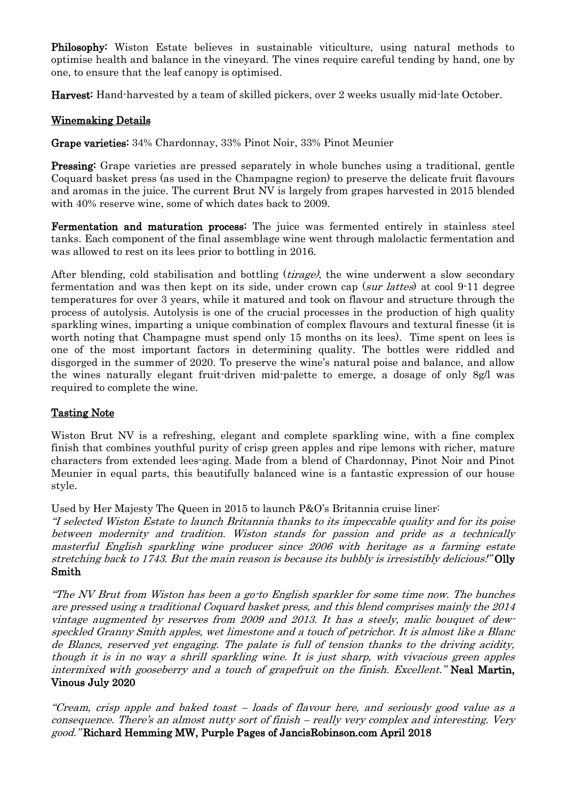Philosophy: Wiston Estate believes in sustainable viticulture, using natural methods to optimise health and balance in the vineyard. The vines require careful tending by hand, one by one, to ensure that the leaf canopy is optimised.

Harvest: Hand-harvested by a team of skilled pickers, over 2 weeks usually mid-late October.

# Winemaking Details

Grape varieties: 34% Chardonnay, 33% Pinot Noir, 33% Pinot Meunier

Pressing: Grape varieties are pressed separately in whole bunches using a traditional, gentle Coquard basket press (as used in the Champagne region) to preserve the delicate fruit flavours and aromas in the juice. The current Brut NV is largely from grapes harvested in 2015 blended with 40% reserve wine, some of which dates back to 2009.

Fermentation and maturation process: The juice was fermented entirely in stainless steel tanks. Each component of the final assemblage wine went through malolactic fermentation and was allowed to rest on its lees prior to bottling in 2016.

After blending, cold stabilisation and bottling *(tirage)*, the wine underwent a slow secondary fermentation and was then kept on its side, under crown cap (sur lattes) at cool 9-11 degree temperatures for over 3 years, while it matured and took on flavour and structure through the process of autolysis. Autolysis is one of the crucial processes in the production of high quality sparkling wines, imparting a unique combination of complex flavours and textural finesse (it is worth noting that Champagne must spend only 15 months on its lees). Time spent on lees is one of the most important factors in determining quality. The bottles were riddled and disgorged in the summer of 2020. To preserve the wine's natural poise and balance, and allow the wines naturally elegant fruit-driven mid-palette to emerge, a dosage of only 8g/l was required to complete the wine.

#### Tasting Note

Wiston Brut NV is a refreshing, elegant and complete sparkling wine, with a fine complex finish that combines youthful purity of crisp green apples and ripe lemons with richer, mature characters from extended lees-aging. Made from a blend of Chardonnay, Pinot Noir and Pinot Meunier in equal parts, this beautifully balanced wine is a fantastic expression of our house style.

Used by Her Majesty The Queen in 2015 to launch P&O's Britannia cruise liner:

"I selected Wiston Estate to launch Britannia thanks to its impeccable quality and for its poise between modernity and tradition. Wiston stands for passion and pride as a technically masterful English sparkling wine producer since 2006 with heritage as a farming estate stretching back to 1743. But the main reason is because its bubbly is irresistibly delicious!" Olly Smith

"The NV Brut from Wiston has been a go-to English sparkler for some time now. The bunches are pressed using a traditional Coquard basket press, and this blend comprises mainly the 2014 vintage augmented by reserves from 2009 and 2013. It has a steely, malic bouquet of dewspeckled Granny Smith apples, wet limestone and a touch of petrichor. It is almost like a Blanc de Blancs, reserved yet engaging. The palate is full of tension thanks to the driving acidity, though it is in no way a shrill sparkling wine. It is just sharp, with vivacious green apples intermixed with gooseberry and a touch of grapefruit on the finish. Excellent." Neal Martin, Vinous July 2020

"Cream, crisp apple and baked toast – loads of flavour here, and seriously good value as a consequence. There's an almost nutty sort of finish – really very complex and interesting. Very good." Richard Hemming MW, Purple Pages of JancisRobinson.com April 2018